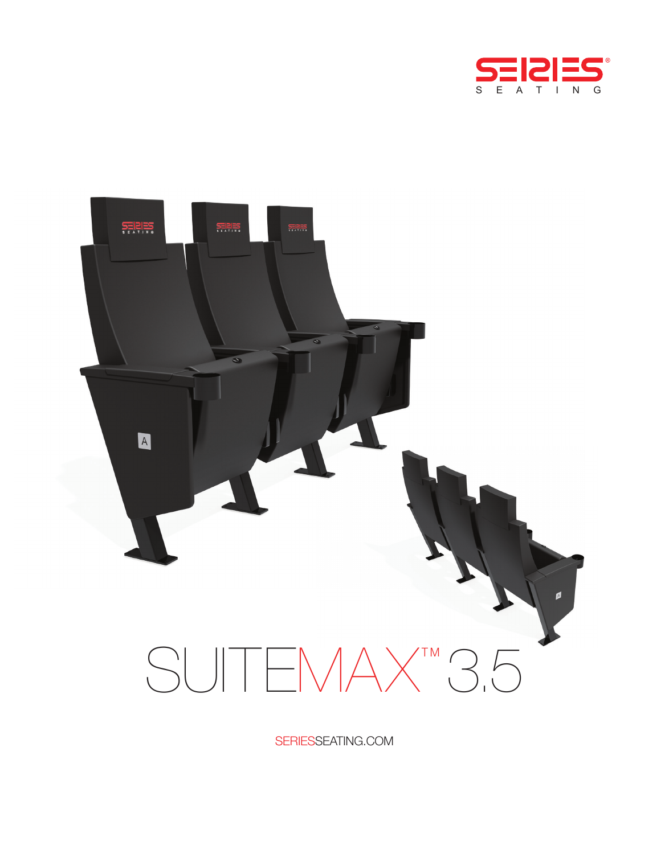



SERIESSEATING.COM